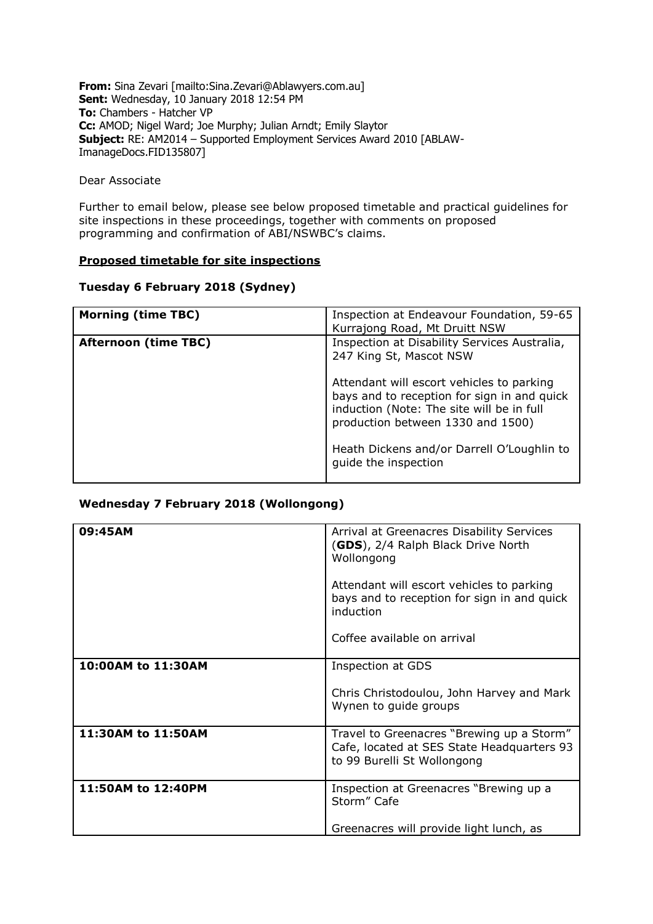**From:** Sina Zevari [mailto:Sina.Zevari@Ablawyers.com.au] **Sent:** Wednesday, 10 January 2018 12:54 PM **To:** Chambers - Hatcher VP **Cc:** AMOD; Nigel Ward; Joe Murphy; Julian Arndt; Emily Slaytor **Subject:** RE: AM2014 – Supported Employment Services Award 2010 [ABLAW-ImanageDocs.FID135807]

Dear Associate

Further to email below, please see below proposed timetable and practical guidelines for site inspections in these proceedings, together with comments on proposed programming and confirmation of ABI/NSWBC's claims.

# **Proposed timetable for site inspections**

# **Tuesday 6 February 2018 (Sydney)**

| <b>Morning (time TBC)</b>   | Inspection at Endeavour Foundation, 59-65<br>Kurrajong Road, Mt Druitt NSW                                                                                                 |  |
|-----------------------------|----------------------------------------------------------------------------------------------------------------------------------------------------------------------------|--|
| <b>Afternoon (time TBC)</b> | Inspection at Disability Services Australia,<br>247 King St, Mascot NSW                                                                                                    |  |
|                             | Attendant will escort vehicles to parking<br>bays and to reception for sign in and quick<br>induction (Note: The site will be in full<br>production between 1330 and 1500) |  |
|                             | Heath Dickens and/or Darrell O'Loughlin to<br>guide the inspection                                                                                                         |  |

# **Wednesday 7 February 2018 (Wollongong)**

| 09:45AM            | Arrival at Greenacres Disability Services<br>(GDS), 2/4 Ralph Black Drive North<br>Wollongong                          |
|--------------------|------------------------------------------------------------------------------------------------------------------------|
|                    | Attendant will escort vehicles to parking<br>bays and to reception for sign in and quick<br>induction                  |
|                    | Coffee available on arrival                                                                                            |
| 10:00AM to 11:30AM | <b>Inspection at GDS</b>                                                                                               |
|                    |                                                                                                                        |
|                    | Chris Christodoulou, John Harvey and Mark<br>Wynen to guide groups                                                     |
| 11:30AM to 11:50AM | Travel to Greenacres "Brewing up a Storm"<br>Cafe, located at SES State Headquarters 93<br>to 99 Burelli St Wollongong |
| 11:50AM to 12:40PM | Inspection at Greenacres "Brewing up a<br>Storm" Cafe                                                                  |
|                    | Greenacres will provide light lunch, as                                                                                |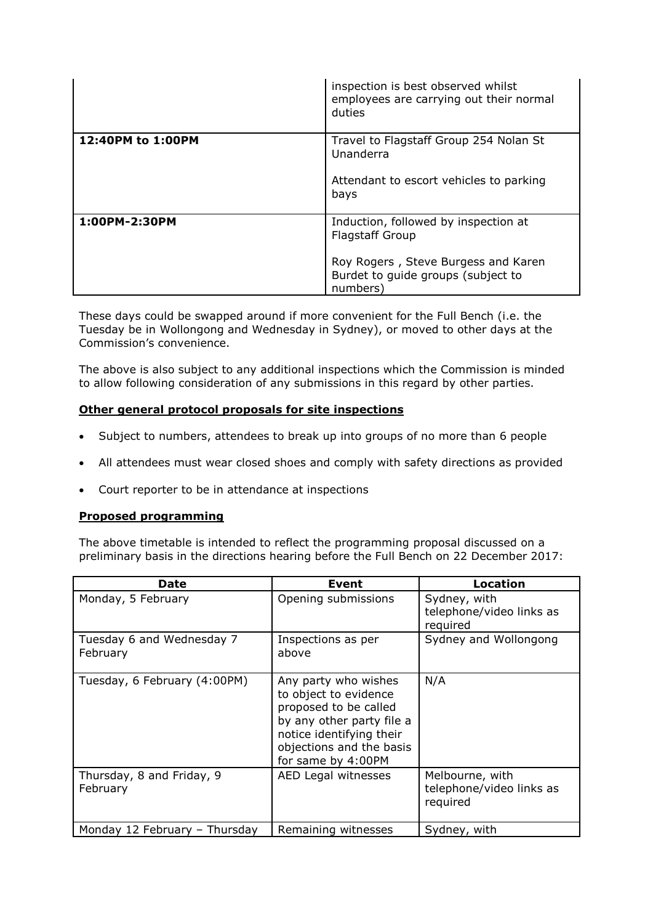|                   | inspection is best observed whilst<br>employees are carrying out their normal<br>duties                                                                 |
|-------------------|---------------------------------------------------------------------------------------------------------------------------------------------------------|
| 12:40PM to 1:00PM | Travel to Flagstaff Group 254 Nolan St<br>Unanderra<br>Attendant to escort vehicles to parking<br>bays                                                  |
| 1:00PM-2:30PM     | Induction, followed by inspection at<br><b>Flagstaff Group</b><br>Roy Rogers, Steve Burgess and Karen<br>Burdet to guide groups (subject to<br>numbers) |

These days could be swapped around if more convenient for the Full Bench (i.e. the Tuesday be in Wollongong and Wednesday in Sydney), or moved to other days at the Commission's convenience.

The above is also subject to any additional inspections which the Commission is minded to allow following consideration of any submissions in this regard by other parties.

### **Other general protocol proposals for site inspections**

- Subject to numbers, attendees to break up into groups of no more than 6 people
- All attendees must wear closed shoes and comply with safety directions as provided
- Court reporter to be in attendance at inspections

#### **Proposed programming**

The above timetable is intended to reflect the programming proposal discussed on a preliminary basis in the directions hearing before the Full Bench on 22 December 2017:

| Date                                  | Event                                                                                                                                                                             | Location                                                |
|---------------------------------------|-----------------------------------------------------------------------------------------------------------------------------------------------------------------------------------|---------------------------------------------------------|
| Monday, 5 February                    | Opening submissions                                                                                                                                                               | Sydney, with<br>telephone/video links as<br>required    |
| Tuesday 6 and Wednesday 7<br>February | Inspections as per<br>above                                                                                                                                                       | Sydney and Wollongong                                   |
| Tuesday, 6 February (4:00PM)          | Any party who wishes<br>to object to evidence<br>proposed to be called<br>by any other party file a<br>notice identifying their<br>objections and the basis<br>for same by 4:00PM | N/A                                                     |
| Thursday, 8 and Friday, 9<br>February | AED Legal witnesses                                                                                                                                                               | Melbourne, with<br>telephone/video links as<br>required |
| Monday 12 February - Thursday         | Remaining witnesses                                                                                                                                                               | Sydney, with                                            |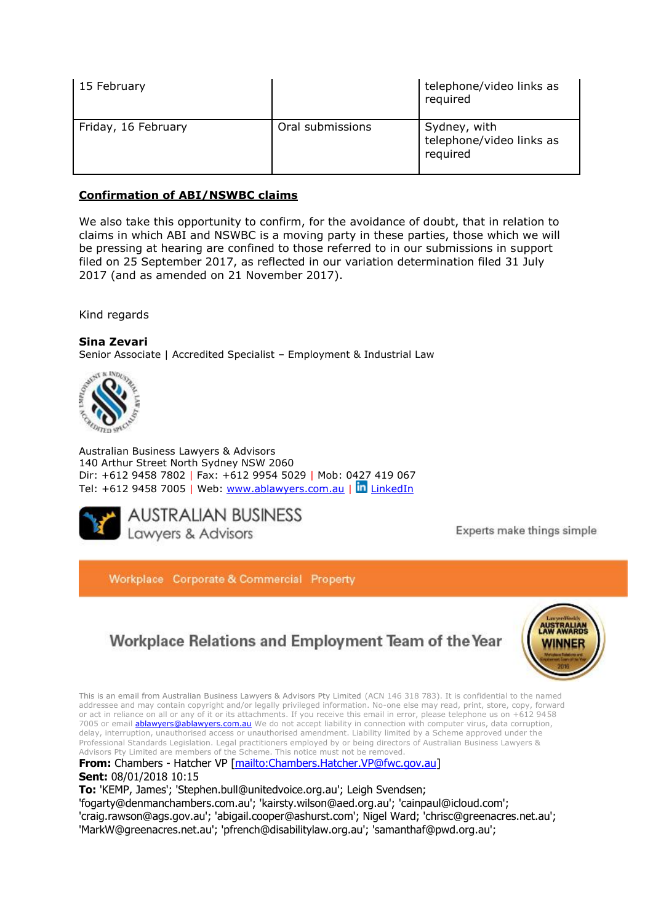| 15 February         |                  | telephone/video links as<br>required                 |
|---------------------|------------------|------------------------------------------------------|
| Friday, 16 February | Oral submissions | Sydney, with<br>telephone/video links as<br>required |

# **Confirmation of ABI/NSWBC claims**

We also take this opportunity to confirm, for the avoidance of doubt, that in relation to claims in which ABI and NSWBC is a moving party in these parties, those which we will be pressing at hearing are confined to those referred to in our submissions in support filed on 25 September 2017, as reflected in our variation determination filed 31 July 2017 (and as amended on 21 November 2017).

Kind regards

**Sina Zevari** Senior Associate | Accredited Specialist – Employment & Industrial Law



Australian Business Lawyers & Advisors 140 Arthur Street North Sydney NSW 2060 Dir: +612 9458 7802 | Fax: +612 9954 5029 | Mob: 0427 419 067 Tel: +612 9458 7005 | Web:<www.ablawyers.com.au> | In [LinkedIn](https://www.linkedin.com/company/australian-business-lawyers?trk=top_nav_home)



Experts make things simple

Workplace Corporate & Commercial Property

# Workplace Relations and Employment Team of the Year



This is an email from Australian Business Lawyers & Advisors Pty Limited (ACN 146 318 783). It is confidential to the named addressee and may contain copyright and/or legally privileged information. No-one else may read, print, store, copy, forward or act in reliance on all or any of it or its attachments. If you receive this email in error, please telephone us on +612 9458 7005 or email **ablawyers@ablawyers.com.au** We do not accept liability in connection with computer virus, data corruption, delay, interruption, unauthorised access or unauthorised amendment. Liability limited by a Scheme approved under the Professional Standards Legislation. Legal practitioners employed by or being directors of Australian Business Lawyers & Advisors Pty Limited are members of the Scheme. This notice must not be removed.

**From:** Chambers - Hatcher VP [\[mailto:Chambers.Hatcher.VP@fwc.gov.au\]](mailto:Chambers.Hatcher.VP@fwc.gov.au) **Sent:** 08/01/2018 10:15

**To:** 'KEMP, James'; 'Stephen.bull@unitedvoice.org.au'; Leigh Svendsen;

'fogarty@denmanchambers.com.au'; 'kairsty.wilson@aed.org.au'; 'cainpaul@icloud.com';

'craig.rawson@ags.gov.au'; 'abigail.cooper@ashurst.com'; Nigel Ward; 'chrisc@greenacres.net.au'; 'MarkW@greenacres.net.au'; 'pfrench@disabilitylaw.org.au'; 'samanthaf@pwd.org.au';